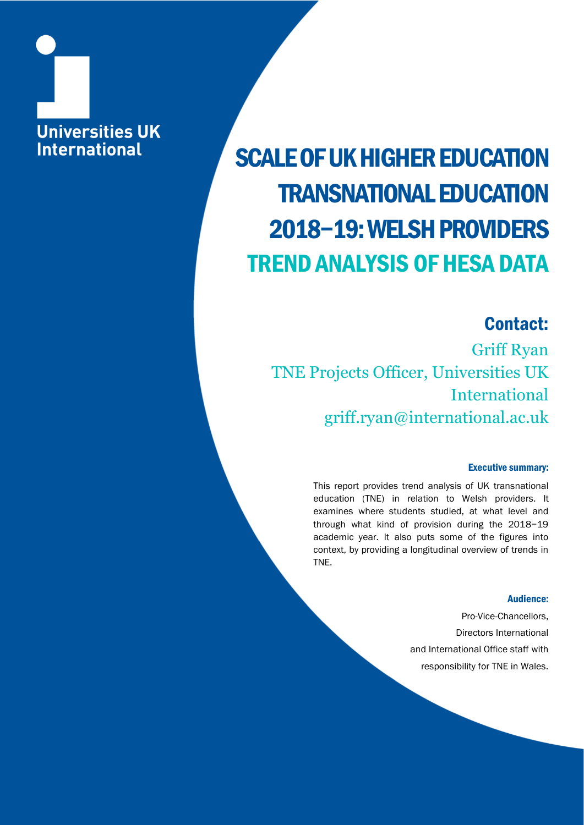## **Universities UK International**

## SCALE OF UK HIGHER EDUCATION TRANSNATIONAL EDUCATION 2018−19: WELSH PROVIDERS TREND ANALYSIS OF HESA DATA

### Contact:

Griff Ryan TNE Projects Officer, Universities UK International griff.ryan@international.ac.uk

#### Executive summary:

This report provides trend analysis of UK transnational education (TNE) in relation to Welsh providers. It examines where students studied, at what level and through what kind of provision during the 2018−19 academic year. It also puts some of the figures into context, by providing a longitudinal overview of trends in TNE.

#### Audience:

Pro-Vice-Chancellors, Directors International and International Office staff with responsibility for TNE in Wales.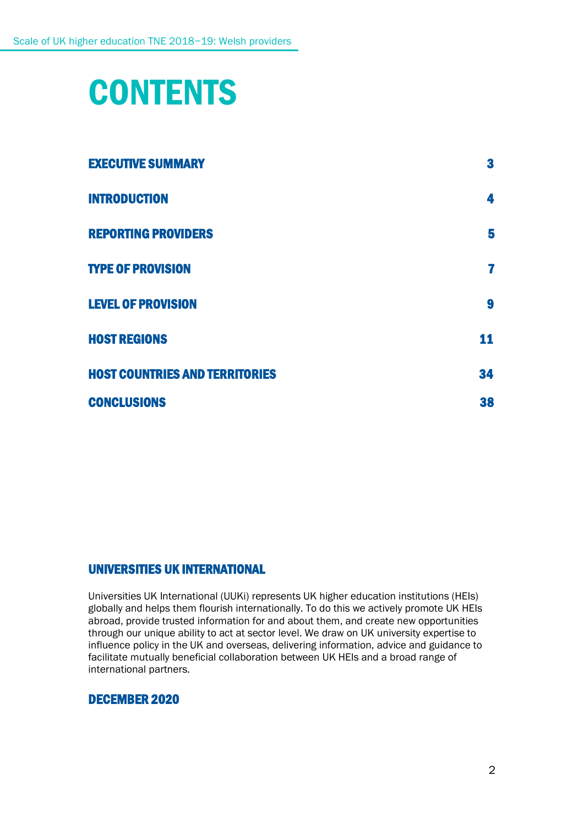## **CONTENTS**

| <b>EXECUTIVE SUMMARY</b>              | 3  |
|---------------------------------------|----|
| <b>INTRODUCTION</b>                   | 4  |
| <b>REPORTING PROVIDERS</b>            | 5  |
| <b>TYPE OF PROVISION</b>              | 7  |
| <b>LEVEL OF PROVISION</b>             | 9  |
| <b>HOST REGIONS</b>                   | 11 |
| <b>HOST COUNTRIES AND TERRITORIES</b> | 34 |
| <b>CONCLUSIONS</b>                    | 38 |

#### UNIVERSITIES UK INTERNATIONAL

Universities UK International (UUKi) represents UK higher education institutions (HEIs) globally and helps them flourish internationally. To do this we actively promote UK HEIs abroad, provide trusted information for and about them, and create new opportunities through our unique ability to act at sector level. We draw on UK university expertise to influence policy in the UK and overseas, delivering information, advice and guidance to facilitate mutually beneficial collaboration between UK HEIs and a broad range of international partners.

#### DECEMBER 2020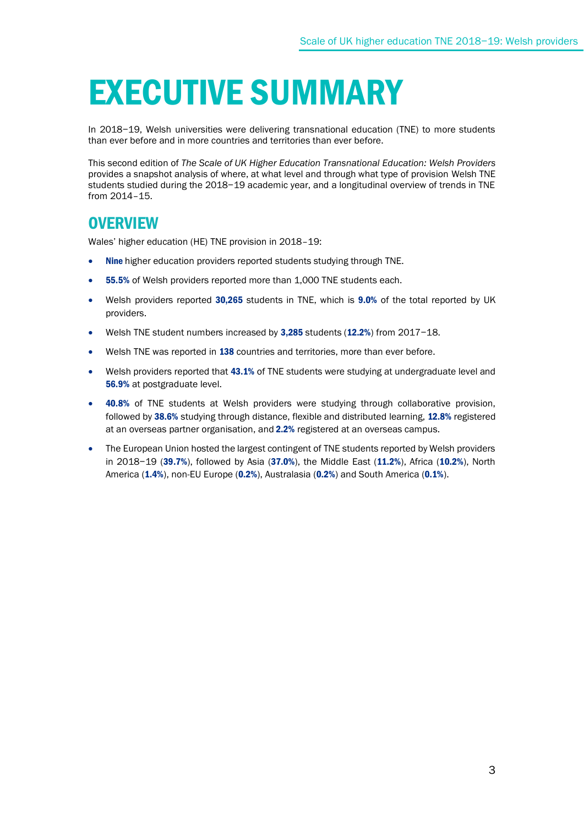## EXECUTIVE SUMMARY

In 2018−19, Welsh universities were delivering transnational education (TNE) to more students than ever before and in more countries and territories than ever before.

This second edition of *The Scale of UK Higher Education Transnational Education: Welsh Providers* provides a snapshot analysis of where, at what level and through what type of provision Welsh TNE students studied during the 2018−19 academic year, and a longitudinal overview of trends in TNE from 2014–15.

### **OVERVIEW**

Wales' higher education (HE) TNE provision in 2018–19:

- Nine higher education providers reported students studying through TNE.
- 55.5% of Welsh providers reported more than 1,000 TNE students each.
- Welsh providers reported 30,265 students in TNE, which is 9.0% of the total reported by UK providers.
- Welsh TNE student numbers increased by 3,285 students (12.2%) from 2017−18.
- Welsh TNE was reported in 138 countries and territories, more than ever before.
- Welsh providers reported that 43.1% of TNE students were studying at undergraduate level and 56.9% at postgraduate level.
- 40.8% of TNE students at Welsh providers were studying through collaborative provision, followed by 38.6% studying through distance, flexible and distributed learning, 12.8% registered at an overseas partner organisation, and 2.2% registered at an overseas campus.
- The European Union hosted the largest contingent of TNE students reported by Welsh providers in 2018−19 (39.7%), followed by Asia (37.0%), the Middle East (11.2%), Africa (10.2%), North America (1.4%), non-EU Europe (0.2%), Australasia (0.2%) and South America (0.1%).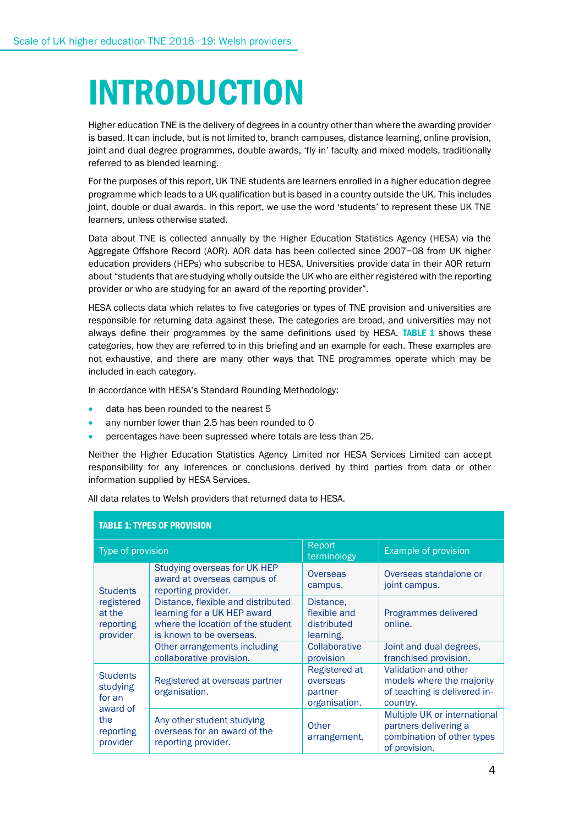# INTRODUCTION

Higher education TNE is the delivery of degrees in a country other than where the awarding provider is based. It can include, but is not limited to, branch campuses, distance learning, online provision, joint and dual degree programmes, double awards, 'fly-in' faculty and mixed models, traditionally referred to as blended learning.

For the purposes of this report, UK TNE students are learners enrolled in a higher education degree programme which leads to a UK qualification but is based in a country outside the UK. This includes joint, double or dual awards. In this report, we use the word 'students' to represent these UK TNE learners, unless otherwise stated.

Data about TNE is collected annually by the Higher Education Statistics Agency (HESA) via the Aggregate Offshore Record (AOR). AOR data has been collected since 2007−08 from UK higher education providers (HEPs) who subscribe to HESA. Universities provide data in their AOR return about "students that are studying wholly outside the UK who are either registered with the reporting provider or who are studying for an award of the reporting provider".

HESA collects data which relates to five categories or types of TNE provision and universities are responsible for returning data against these. The categories are broad, and universities may not always define their programmes by the same definitions used by HESA. TABLE 1 shows these categories, how they are referred to in this briefing and an example for each. These examples are not exhaustive, and there are many other ways that TNE programmes operate which may be included in each category.

In accordance with HESA's Standard Rounding Methodology:

- data has been rounded to the nearest 5
- any number lower than 2.5 has been rounded to 0
- percentages have been supressed where totals are less than 25.

Neither the Higher Education Statistics Agency Limited nor HESA Services Limited can accept responsibility for any inferences or conclusions derived by third parties from data or other information supplied by HESA Services.

All data relates to Welsh providers that returned data to HESA.

| <b>TABLE 1: TYPES OF PROVISION</b>                                                                                                 |                                                                                                                                    |                                                       |                                                                                                      |  |
|------------------------------------------------------------------------------------------------------------------------------------|------------------------------------------------------------------------------------------------------------------------------------|-------------------------------------------------------|------------------------------------------------------------------------------------------------------|--|
| Type of provision                                                                                                                  |                                                                                                                                    | Report<br>terminology                                 | <b>Example of provision</b>                                                                          |  |
| <b>Students</b>                                                                                                                    | Studying overseas for UK HEP<br>award at overseas campus of<br>reporting provider.                                                 | Overseas<br>campus.                                   | Overseas standalone or<br>joint campus.                                                              |  |
| registered<br>at the<br>reporting<br>provider<br><b>Students</b><br>studying<br>for an<br>award of<br>the<br>reporting<br>provider | Distance, flexible and distributed<br>learning for a UK HEP award<br>where the location of the student<br>is known to be overseas. | Distance.<br>flexible and<br>distributed<br>learning. | Programmes delivered<br>online.                                                                      |  |
|                                                                                                                                    | Other arrangements including<br>collaborative provision.                                                                           | Collaborative<br>provision                            | Joint and dual degrees,<br>franchised provision.                                                     |  |
|                                                                                                                                    | Registered at overseas partner<br>organisation.                                                                                    | Registered at<br>overseas<br>partner<br>organisation. | Validation and other<br>models where the majority<br>of teaching is delivered in-<br>country.        |  |
|                                                                                                                                    | Any other student studying<br>overseas for an award of the<br>reporting provider.                                                  | Other<br>arrangement.                                 | Multiple UK or international<br>partners delivering a<br>combination of other types<br>of provision. |  |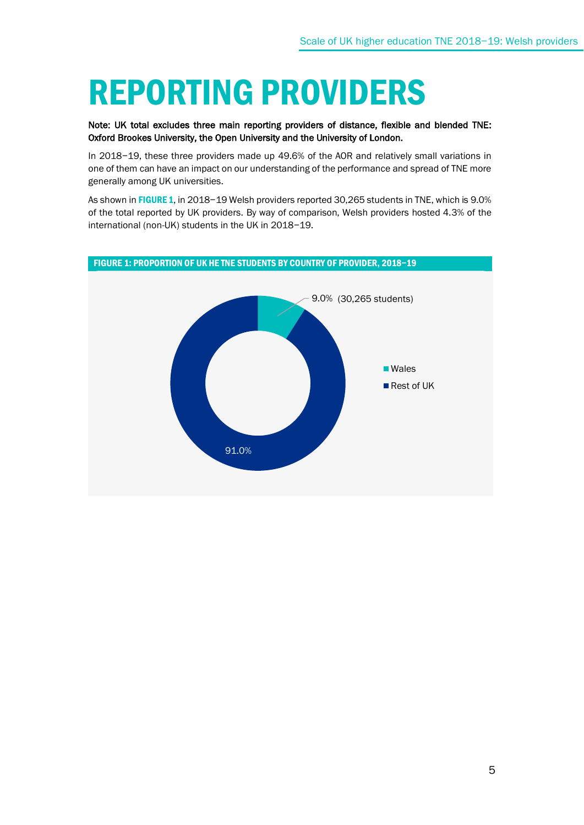## REPORTING PROVIDERS

#### Note: UK total excludes three main reporting providers of distance, flexible and blended TNE: Oxford Brookes University, the Open University and the University of London.

In 2018−19, these three providers made up 49.6% of the AOR and relatively small variations in one of them can have an impact on our understanding of the performance and spread of TNE more generally among UK universities.

As shown in FIGURE 1, in 2018−19 Welsh providers reported 30,265 students in TNE, which is 9.0% of the total reported by UK providers. By way of comparison, Welsh providers hosted 4.3% of the international (non-UK) students in the UK in 2018−19.

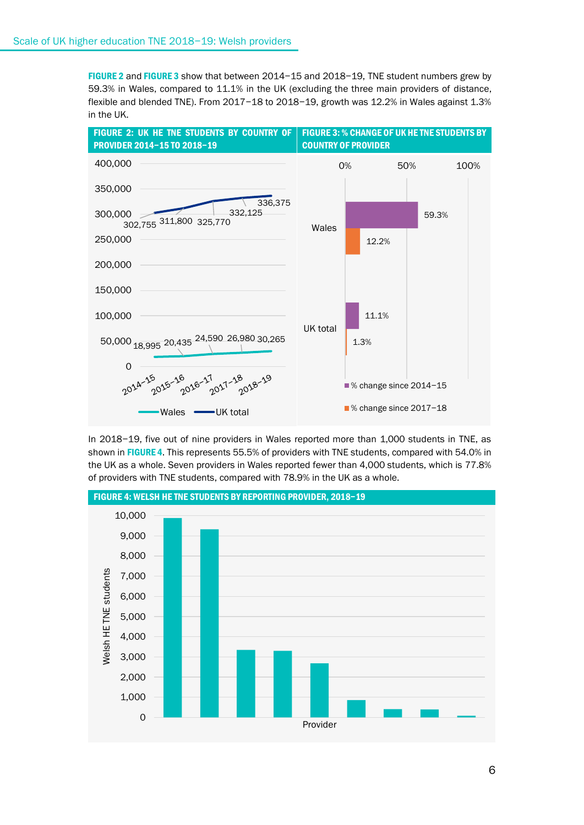FIGURE 2 and FIGURE 3 show that between 2014−15 and 2018−19, TNE student numbers grew by 59.3% in Wales, compared to 11.1% in the UK (excluding the three main providers of distance, flexible and blended TNE). From 2017−18 to 2018−19, growth was 12.2% in Wales against 1.3% in the UK.



In 2018−19, five out of nine providers in Wales reported more than 1,000 students in TNE, as shown in FIGURE 4. This represents 55.5% of providers with TNE students, compared with 54.0% in the UK as a whole. Seven providers in Wales reported fewer than 4,000 students, which is 77.8% of providers with TNE students, compared with 78.9% in the UK as a whole.



FIGURE 4: WELSH HE TNE STUDENTS BY REPORTING PROVIDER, 2018−19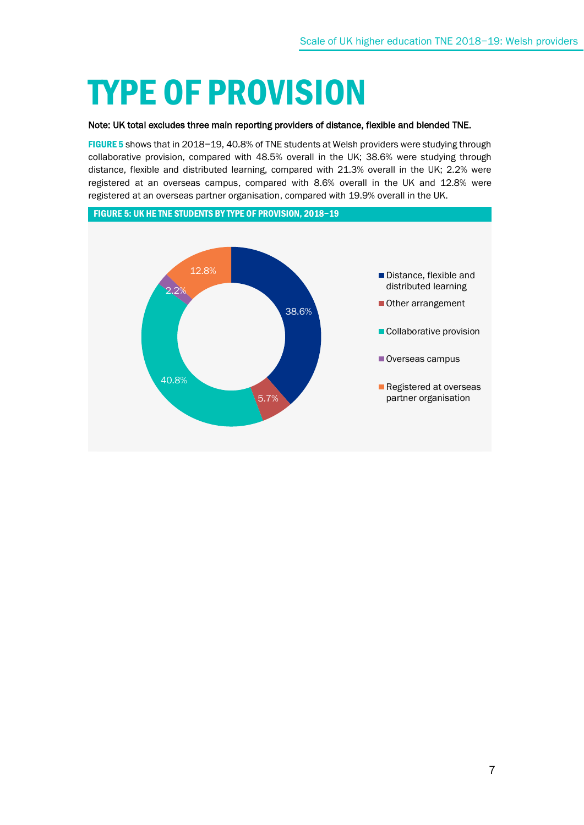## TYPE OF PROVISION

#### Note: UK total excludes three main reporting providers of distance, flexible and blended TNE.

FIGURE 5 shows that in 2018−19, 40.8% of TNE students at Welsh providers were studying through collaborative provision, compared with 48.5% overall in the UK; 38.6% were studying through distance, flexible and distributed learning, compared with 21.3% overall in the UK; 2.2% were registered at an overseas campus, compared with 8.6% overall in the UK and 12.8% were registered at an overseas partner organisation, compared with 19.9% overall in the UK.

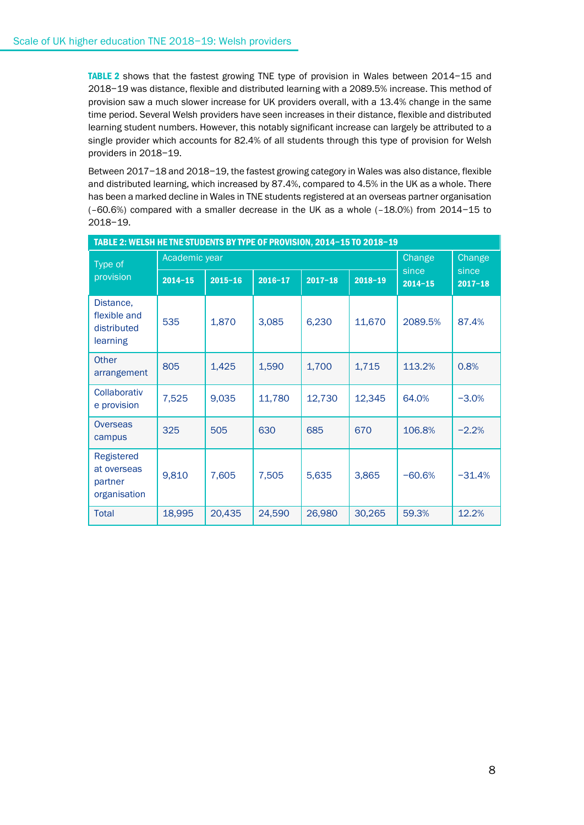TABLE 2 shows that the fastest growing TNE type of provision in Wales between 2014−15 and 2018−19 was distance, flexible and distributed learning with a 2089.5% increase. This method of provision saw a much slower increase for UK providers overall, with a 13.4% change in the same time period. Several Welsh providers have seen increases in their distance, flexible and distributed learning student numbers. However, this notably significant increase can largely be attributed to a single provider which accounts for 82.4% of all students through this type of provision for Welsh providers in 2018−19.

Between 2017−18 and 2018−19, the fastest growing category in Wales was also distance, flexible and distributed learning, which increased by 87.4%, compared to 4.5% in the UK as a whole. There has been a marked decline in Wales in TNE students registered at an overseas partner organisation (–60.6%) compared with a smaller decrease in the UK as a whole (–18.0%) from 2014−15 to 2018−19.

| TABLE 2: WELSH HE TNE STUDENTS BY TYPE OF PROVISION, 2014-15 TO 2018-19 |               |             |             |             |             |                      |                      |
|-------------------------------------------------------------------------|---------------|-------------|-------------|-------------|-------------|----------------------|----------------------|
| Type of                                                                 | Academic year |             |             |             |             | Change               | Change               |
| provision                                                               | $2014 - 15$   | $2015 - 16$ | $2016 - 17$ | $2017 - 18$ | $2018 - 19$ | since<br>$2014 - 15$ | since<br>$2017 - 18$ |
| Distance,<br>flexible and<br>distributed<br>learning                    | 535           | 1,870       | 3,085       | 6,230       | 11,670      | 2089.5%              | 87.4%                |
| <b>Other</b><br>arrangement                                             | 805           | 1,425       | 1,590       | 1,700       | 1,715       | 113.2%               | 0.8%                 |
| Collaborativ<br>e provision                                             | 7,525         | 9,035       | 11,780      | 12,730      | 12,345      | 64.0%                | $-3.0%$              |
| Overseas<br>campus                                                      | 325           | 505         | 630         | 685         | 670         | 106.8%               | $-2.2%$              |
| Registered<br>at overseas<br>partner<br>organisation                    | 9,810         | 7,605       | 7,505       | 5,635       | 3,865       | $-60.6%$             | $-31.4%$             |
| Total                                                                   | 18,995        | 20,435      | 24,590      | 26,980      | 30,265      | 59.3%                | 12.2%                |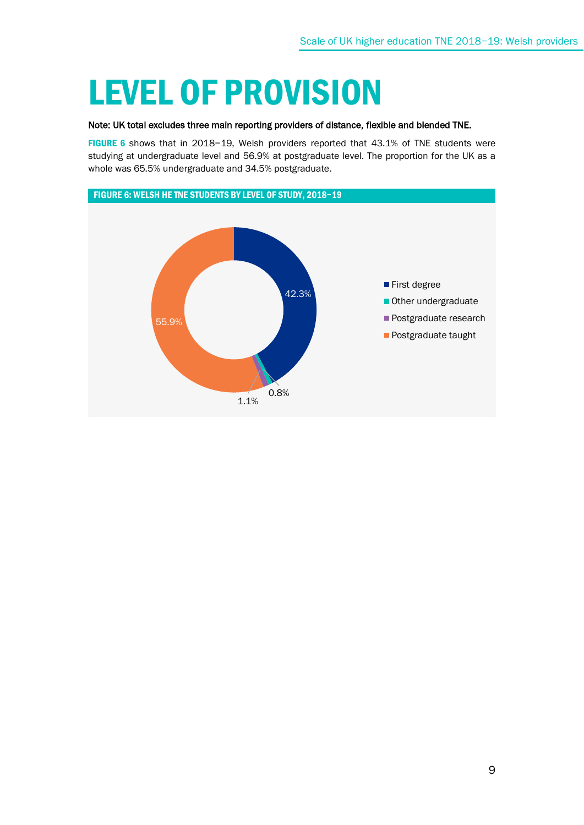## LEVEL OF PROVISION

#### Note: UK total excludes three main reporting providers of distance, flexible and blended TNE.

FIGURE 6 shows that in 2018−19, Welsh providers reported that 43.1% of TNE students were studying at undergraduate level and 56.9% at postgraduate level. The proportion for the UK as a whole was 65.5% undergraduate and 34.5% postgraduate.

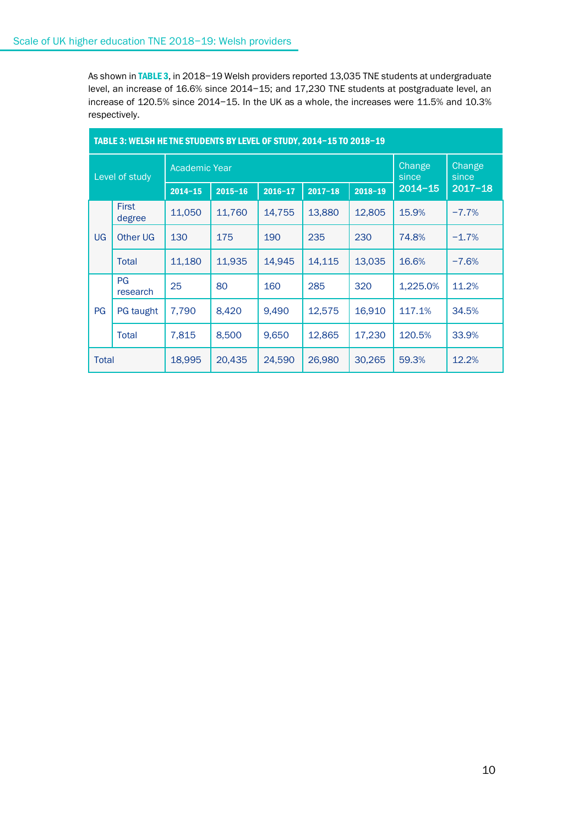As shown in TABLE 3, in 2018-19 Welsh providers reported 13,035 TNE students at undergraduate level, an increase of 16.6% since 2014−15; and 17,230 TNE students at postgraduate level, an increase of 120.5% since 2014−15. In the UK as a whole, the increases were 11.5% and 10.3% respectively.

| TABLE 3: WELSH HE TNE STUDENTS BY LEVEL OF STUDY, 2014-15 TO 2018-19 |                        |                      |             |             |             |             |                 |                 |
|----------------------------------------------------------------------|------------------------|----------------------|-------------|-------------|-------------|-------------|-----------------|-----------------|
| Level of study                                                       |                        | <b>Academic Year</b> |             |             |             |             | Change<br>since | Change<br>since |
|                                                                      |                        | $2014 - 15$          | $2015 - 16$ | $2016 - 17$ | $2017 - 18$ | $2018 - 19$ | $2014 - 15$     | $2017 - 18$     |
|                                                                      | <b>First</b><br>degree | 11,050               | 11,760      | 14,755      | 13,880      | 12,805      | 15.9%           | $-7.7%$         |
| <b>UG</b>                                                            | <b>Other UG</b>        | 130                  | 175         | 190         | 235         | 230         | 74.8%           | $-1.7%$         |
|                                                                      | Total                  | 11,180               | 11,935      | 14,945      | 14,115      | 13,035      | 16.6%           | $-7.6%$         |
|                                                                      | <b>PG</b><br>research  | 25                   | 80          | 160         | 285         | 320         | 1,225.0%        | 11.2%           |
| PG                                                                   | PG taught              | 7,790                | 8,420       | 9,490       | 12,575      | 16,910      | 117.1%          | 34.5%           |
|                                                                      | <b>Total</b>           | 7,815                | 8,500       | 9,650       | 12,865      | 17,230      | 120.5%          | 33.9%           |
| Total                                                                |                        | 18,995               | 20,435      | 24,590      | 26,980      | 30,265      | 59.3%           | 12.2%           |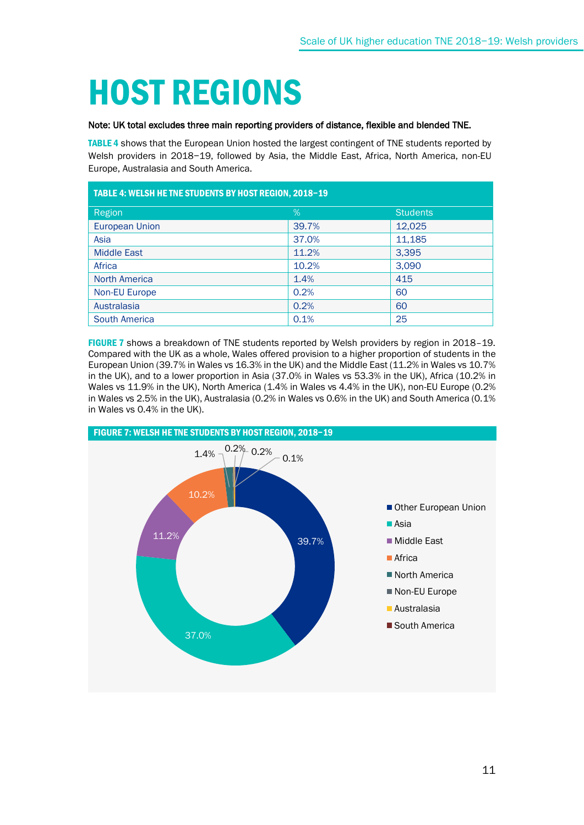# HOST REGIONS

#### Note: UK total excludes three main reporting providers of distance, flexible and blended TNE.

TABLE 4 shows that the European Union hosted the largest contingent of TNE students reported by Welsh providers in 2018−19, followed by Asia, the Middle East, Africa, North America, non-EU Europe, Australasia and South America.

| TABLE 4: WELSH HE TNE STUDENTS BY HOST REGION, 2018-19 |       |                 |  |
|--------------------------------------------------------|-------|-----------------|--|
| Region                                                 | $\%$  | <b>Students</b> |  |
| <b>European Union</b>                                  | 39.7% | 12,025          |  |
| Asia                                                   | 37.0% | 11,185          |  |
| <b>Middle East</b>                                     | 11.2% | 3,395           |  |
| Africa                                                 | 10.2% | 3,090           |  |
| <b>North America</b>                                   | 1.4%  | 415             |  |
| <b>Non-EU Europe</b>                                   | 0.2%  | 60              |  |
| Australasia                                            | 0.2%  | 60              |  |
| <b>South America</b>                                   | 0.1%  | 25              |  |

FIGURE 7 shows a breakdown of TNE students reported by Welsh providers by region in 2018–19. Compared with the UK as a whole, Wales offered provision to a higher proportion of students in the European Union (39.7% in Wales vs 16.3% in the UK) and the Middle East (11.2% in Wales vs 10.7% in the UK), and to a lower proportion in Asia (37.0% in Wales vs 53.3% in the UK), Africa (10.2% in Wales vs 11.9% in the UK), North America (1.4% in Wales vs 4.4% in the UK), non-EU Europe (0.2% in Wales vs 2.5% in the UK), Australasia (0.2% in Wales vs 0.6% in the UK) and South America (0.1% in Wales vs 0.4% in the UK).

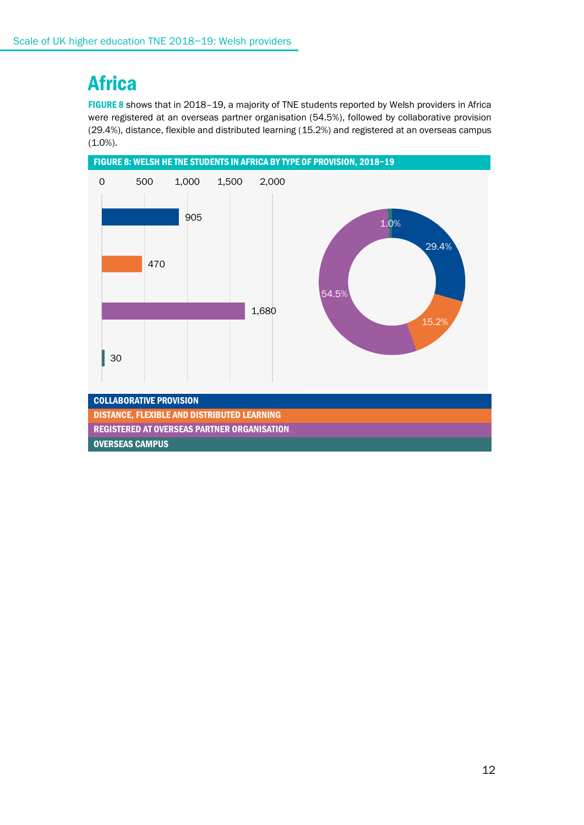### **Africa**

FIGURE 8 shows that in 2018–19, a majority of TNE students reported by Welsh providers in Africa were registered at an overseas partner organisation (54.5%), followed by collaborative provision (29.4%), distance, flexible and distributed learning (15.2%) and registered at an overseas campus  $(1.0\%).$ 

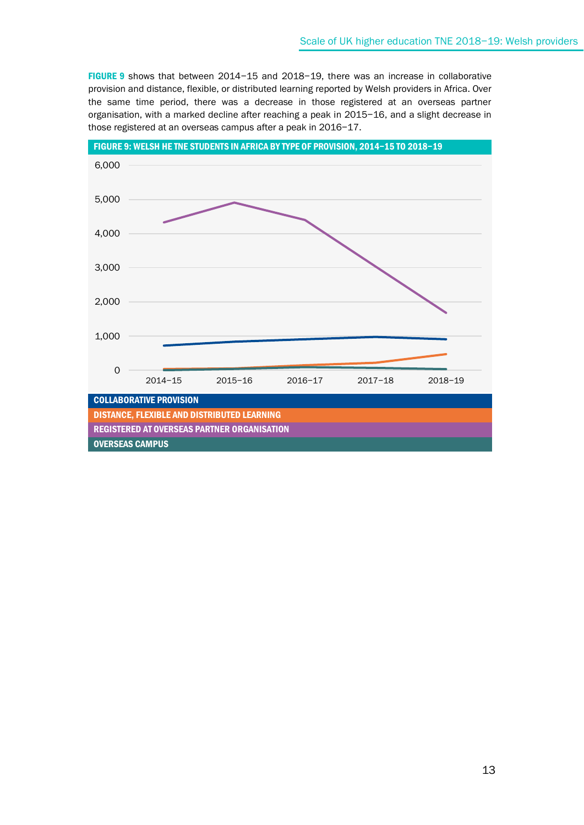FIGURE 9 shows that between 2014−15 and 2018−19, there was an increase in collaborative provision and distance, flexible, or distributed learning reported by Welsh providers in Africa. Over the same time period, there was a decrease in those registered at an overseas partner organisation, with a marked decline after reaching a peak in 2015−16, and a slight decrease in those registered at an overseas campus after a peak in 2016−17.

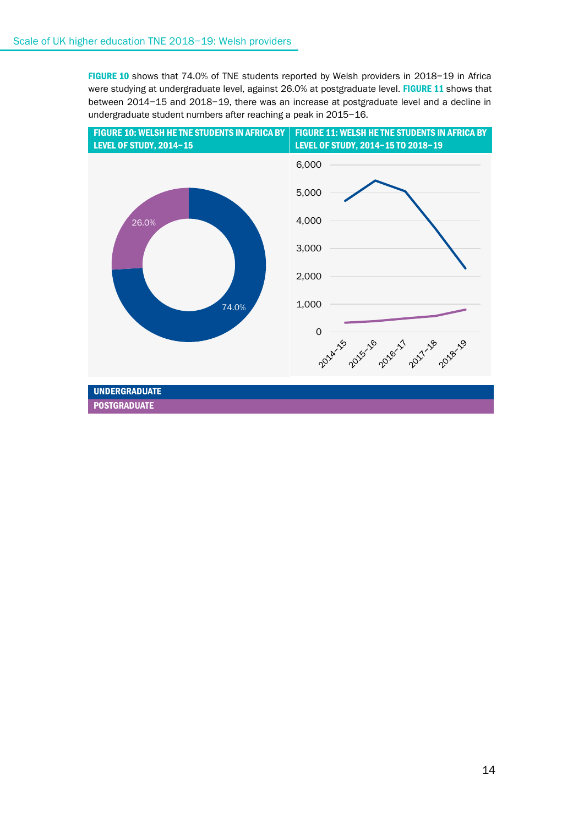FIGURE 10 shows that 74.0% of TNE students reported by Welsh providers in 2018−19 in Africa were studying at undergraduate level, against 26.0% at postgraduate level. FIGURE 11 shows that between 2014−15 and 2018−19, there was an increase at postgraduate level and a decline in undergraduate student numbers after reaching a peak in 2015−16.

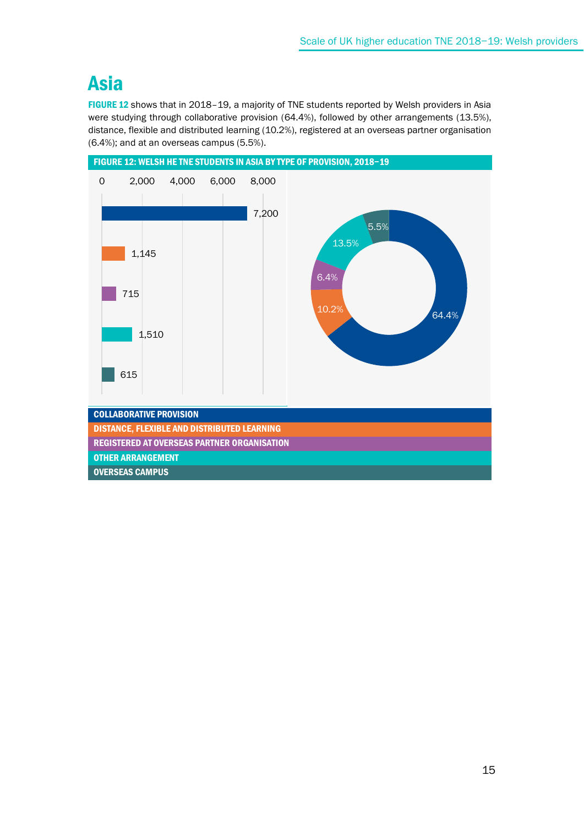### Asia

FIGURE 12 shows that in 2018–19, a majority of TNE students reported by Welsh providers in Asia were studying through collaborative provision (64.4%), followed by other arrangements (13.5%), distance, flexible and distributed learning (10.2%), registered at an overseas partner organisation (6.4%); and at an overseas campus (5.5%).

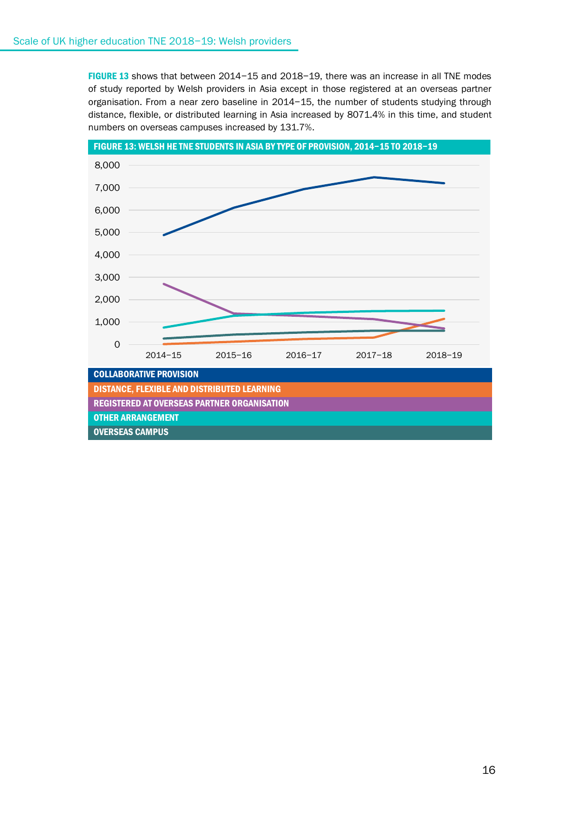FIGURE 13 shows that between 2014−15 and 2018−19, there was an increase in all TNE modes of study reported by Welsh providers in Asia except in those registered at an overseas partner organisation. From a near zero baseline in 2014−15, the number of students studying through distance, flexible, or distributed learning in Asia increased by 8071.4% in this time, and student numbers on overseas campuses increased by 131.7%.

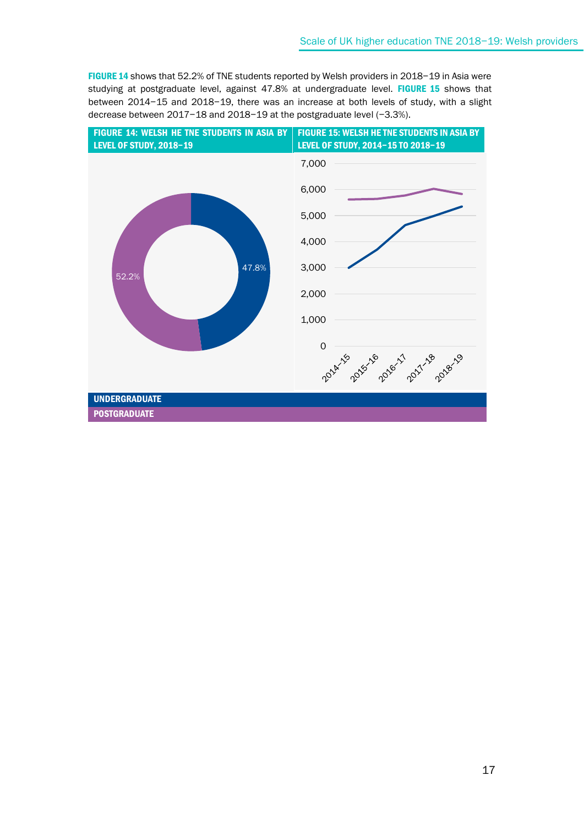FIGURE 14 shows that 52.2% of TNE students reported by Welsh providers in 2018−19 in Asia were studying at postgraduate level, against 47.8% at undergraduate level. FIGURE 15 shows that between 2014−15 and 2018−19, there was an increase at both levels of study, with a slight decrease between 2017−18 and 2018−19 at the postgraduate level (−3.3%).

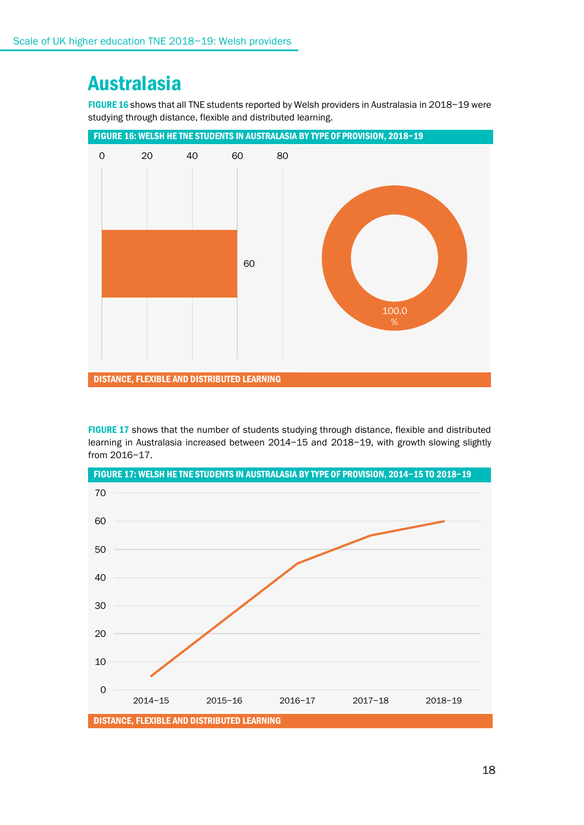### Australasia

FIGURE 16 shows that all TNE students reported by Welsh providers in Australasia in 2018−19 were studying through distance, flexible and distributed learning.



FIGURE 17 shows that the number of students studying through distance, flexible and distributed learning in Australasia increased between 2014−15 and 2018−19, with growth slowing slightly from 2016−17.

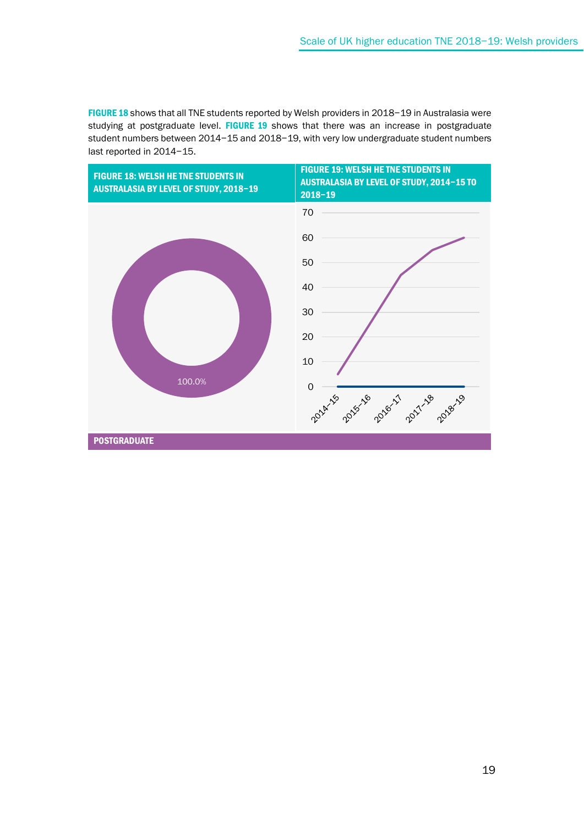FIGURE 18 shows that all TNE students reported by Welsh providers in 2018−19 in Australasia were studying at postgraduate level. FIGURE 19 shows that there was an increase in postgraduate student numbers between 2014−15 and 2018−19, with very low undergraduate student numbers last reported in 2014−15.

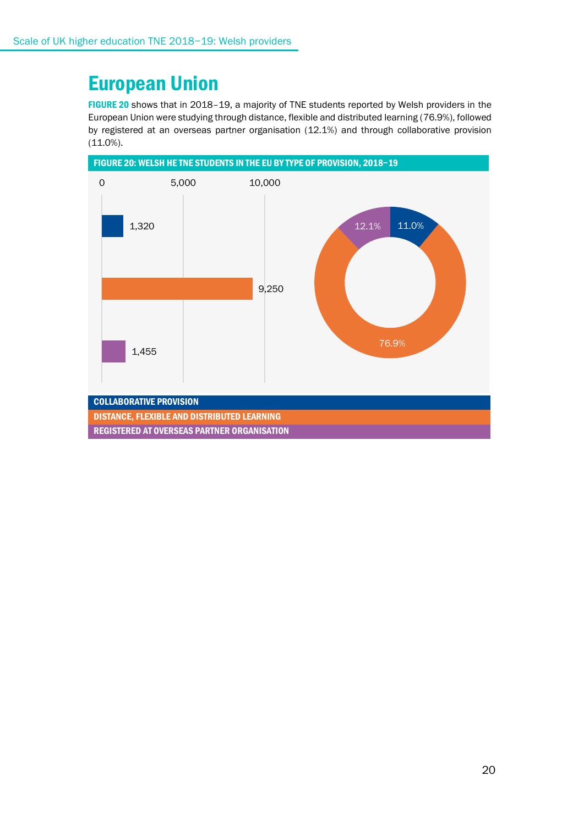### European Union

FIGURE 20 shows that in 2018–19, a majority of TNE students reported by Welsh providers in the European Union were studying through distance, flexible and distributed learning (76.9%), followed by registered at an overseas partner organisation (12.1%) and through collaborative provision (11.0%).

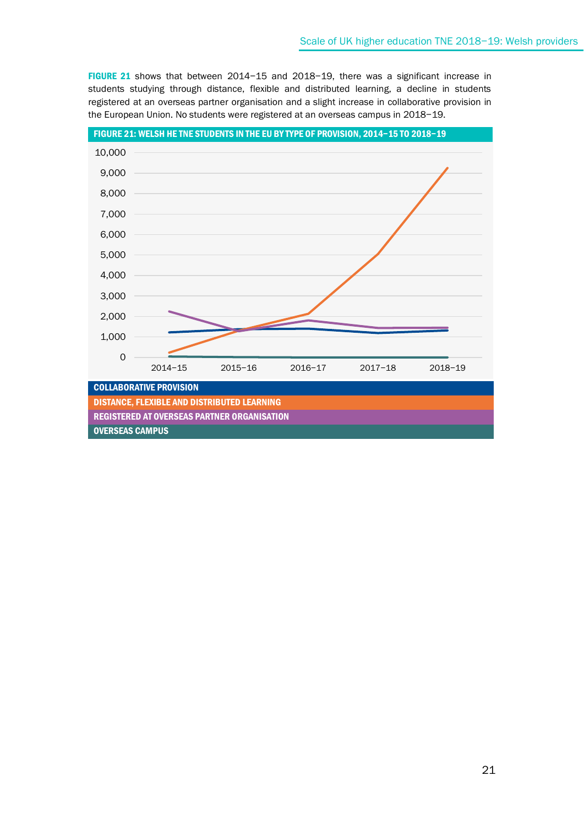FIGURE 21 shows that between 2014−15 and 2018−19, there was a significant increase in students studying through distance, flexible and distributed learning, a decline in students registered at an overseas partner organisation and a slight increase in collaborative provision in the European Union. No students were registered at an overseas campus in 2018−19.

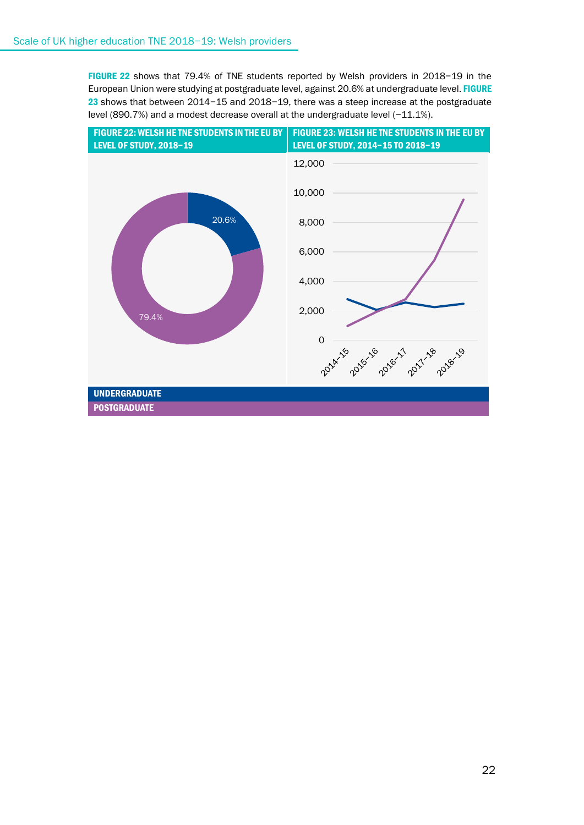FIGURE 22 shows that 79.4% of TNE students reported by Welsh providers in 2018−19 in the European Union were studying at postgraduate level, against 20.6% at undergraduate level. FIGURE 23 shows that between 2014−15 and 2018−19, there was a steep increase at the postgraduate level (890.7%) and a modest decrease overall at the undergraduate level (−11.1%).

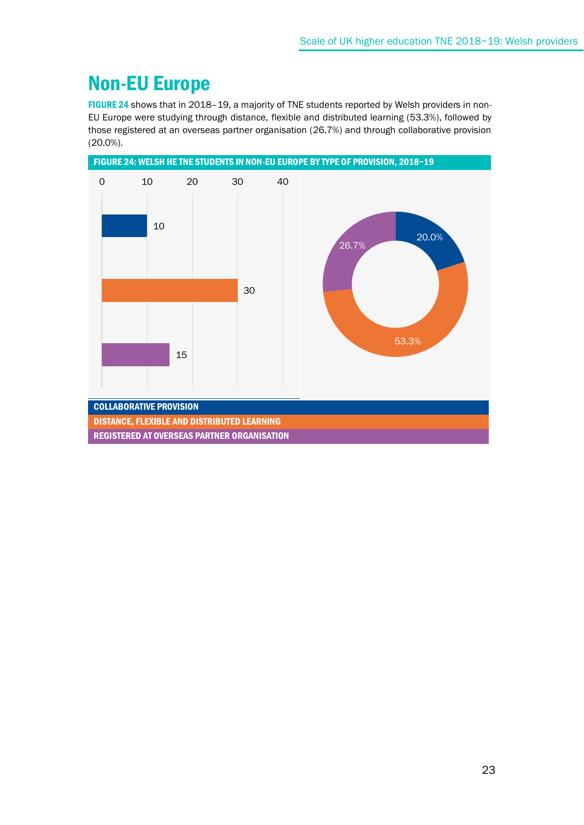### Non-EU Europe

FIGURE 24 shows that in 2018–19, a majority of TNE students reported by Welsh providers in non-EU Europe were studying through distance, flexible and distributed learning (53.3%), followed by those registered at an overseas partner organisation (26.7%) and through collaborative provision (20.0%).

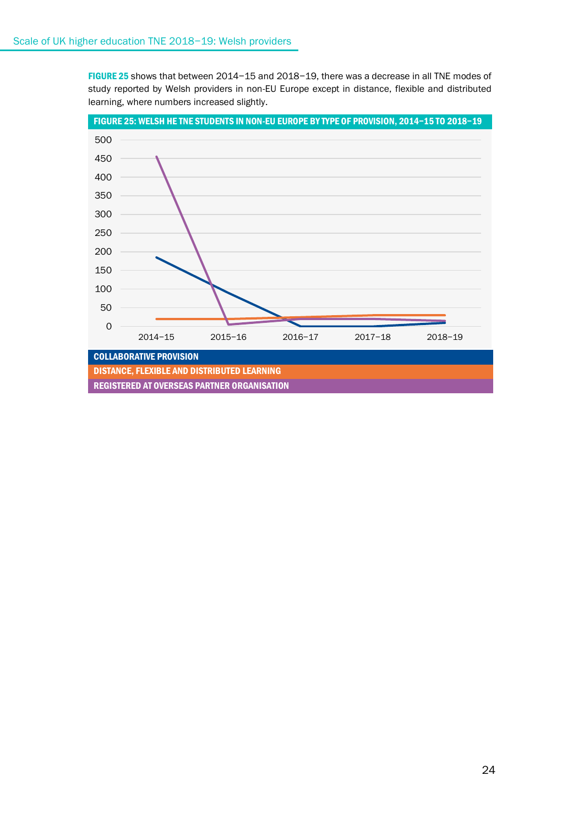FIGURE 25 shows that between 2014−15 and 2018−19, there was a decrease in all TNE modes of study reported by Welsh providers in non-EU Europe except in distance, flexible and distributed learning, where numbers increased slightly.

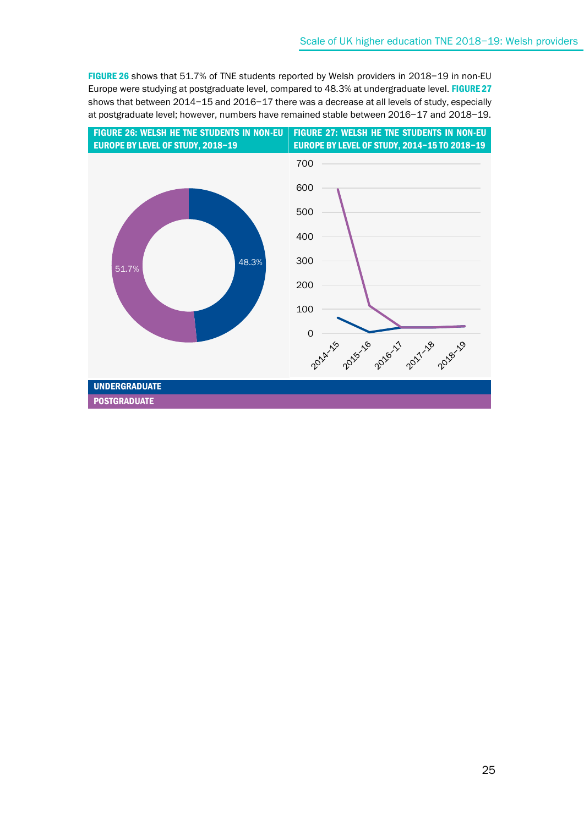FIGURE 26 shows that 51.7% of TNE students reported by Welsh providers in 2018−19 in non-EU Europe were studying at postgraduate level, compared to 48.3% at undergraduate level. FIGURE 27 shows that between 2014−15 and 2016−17 there was a decrease at all levels of study, especially at postgraduate level; however, numbers have remained stable between 2016−17 and 2018−19.

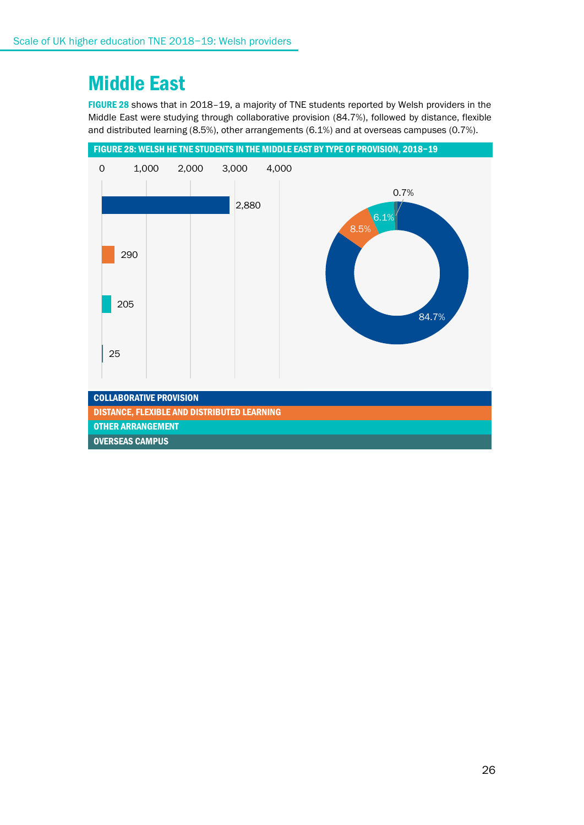### Middle East

FIGURE 28 shows that in 2018–19, a majority of TNE students reported by Welsh providers in the Middle East were studying through collaborative provision (84.7%), followed by distance, flexible and distributed learning (8.5%), other arrangements (6.1%) and at overseas campuses (0.7%).

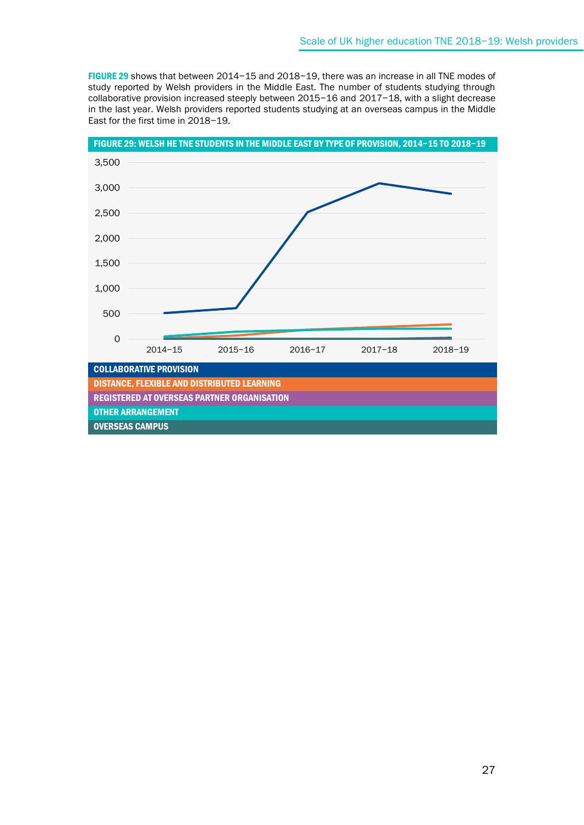FIGURE 29 shows that between 2014−15 and 2018−19, there was an increase in all TNE modes of study reported by Welsh providers in the Middle East. The number of students studying through collaborative provision increased steeply between 2015−16 and 2017−18, with a slight decrease in the last year. Welsh providers reported students studying at an overseas campus in the Middle East for the first time in 2018−19.

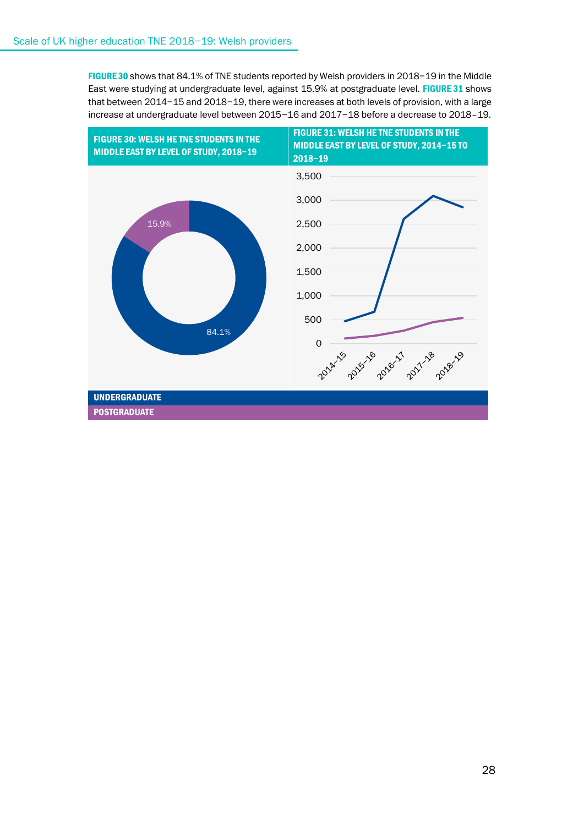FIGURE 30 shows that 84.1% of TNE students reported by Welsh providers in 2018−19 in the Middle East were studying at undergraduate level, against 15.9% at postgraduate level. FIGURE 31 shows that between 2014−15 and 2018−19, there were increases at both levels of provision, with a large increase at undergraduate level between 2015−16 and 2017−18 before a decrease to 2018–19.

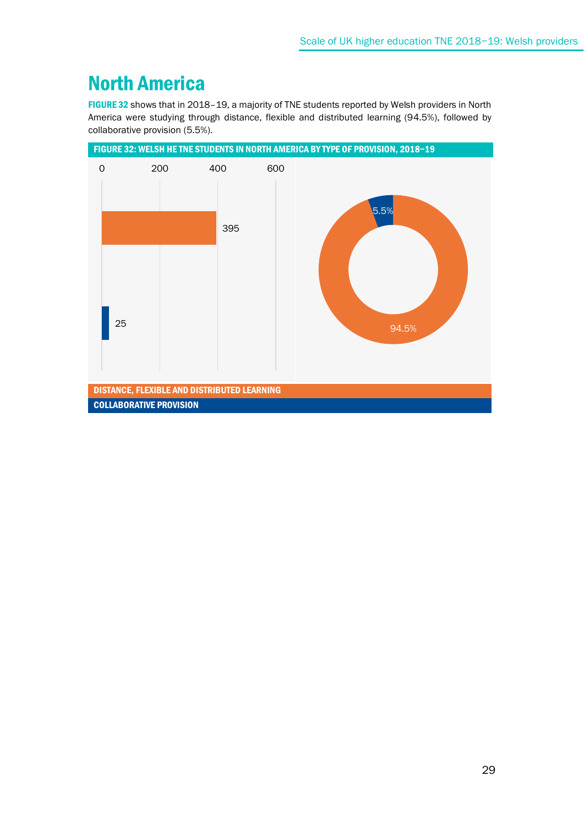### North America

FIGURE 32 shows that in 2018–19, a majority of TNE students reported by Welsh providers in North America were studying through distance, flexible and distributed learning (94.5%), followed by collaborative provision (5.5%).

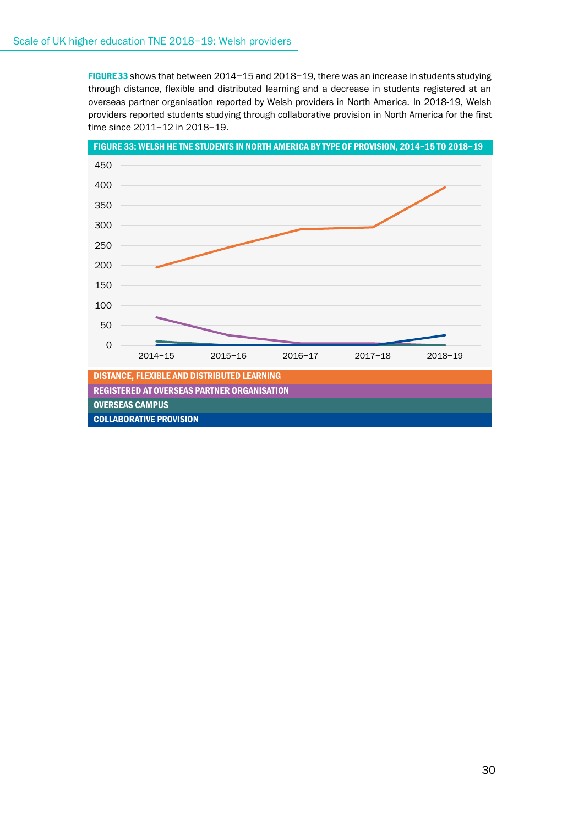FIGURE 33 shows that between 2014−15 and 2018−19, there was an increase in students studying through distance, flexible and distributed learning and a decrease in students registered at an overseas partner organisation reported by Welsh providers in North America. In 2018-19, Welsh providers reported students studying through collaborative provision in North America for the first time since 2011−12 in 2018−19.

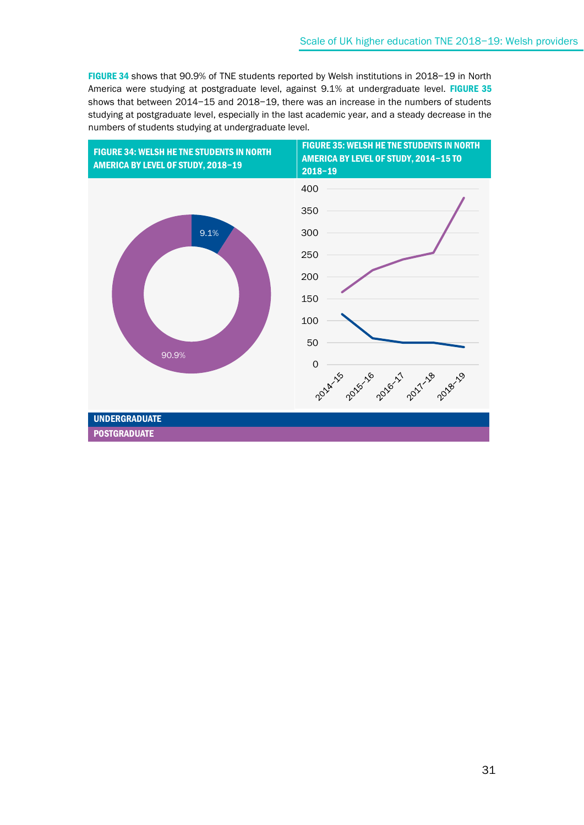FIGURE 34 shows that 90.9% of TNE students reported by Welsh institutions in 2018−19 in North America were studying at postgraduate level, against 9.1% at undergraduate level. FIGURE 35 shows that between 2014−15 and 2018−19, there was an increase in the numbers of students studying at postgraduate level, especially in the last academic year, and a steady decrease in the numbers of students studying at undergraduate level.

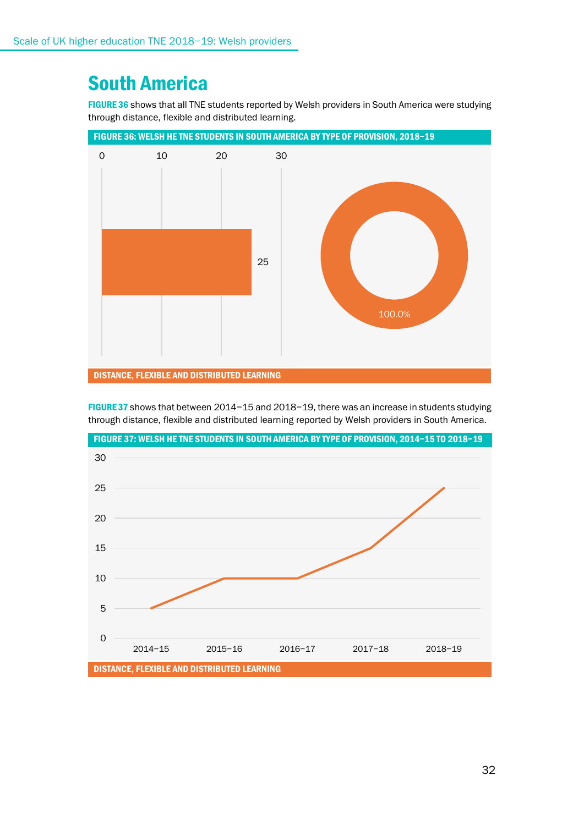### South America

FIGURE 36 shows that all TNE students reported by Welsh providers in South America were studying through distance, flexible and distributed learning.





FIGURE 37 shows that between 2014−15 and 2018−19, there was an increase in students studying through distance, flexible and distributed learning reported by Welsh providers in South America.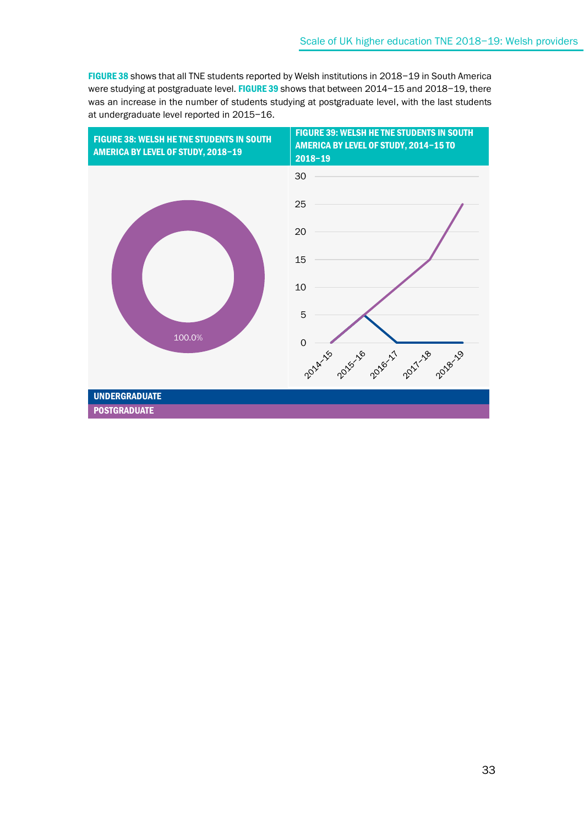FIGURE 38 shows that all TNE students reported by Welsh institutions in 2018−19 in South America were studying at postgraduate level. FIGURE 39 shows that between 2014-15 and 2018-19, there was an increase in the number of students studying at postgraduate level, with the last students at undergraduate level reported in 2015−16.

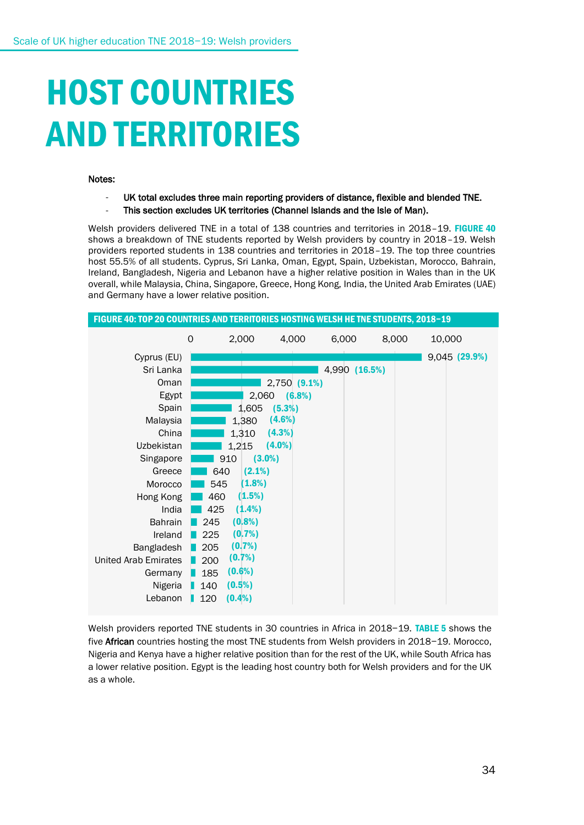# HOST COUNTRIES AND TERRITORIES

#### Notes:

UK total excludes three main reporting providers of distance, flexible and blended TNE. This section excludes UK territories (Channel Islands and the Isle of Man).

Welsh providers delivered TNE in a total of 138 countries and territories in 2018–19. FIGURE 40 shows a breakdown of TNE students reported by Welsh providers by country in 2018-19. Welsh providers reported students in 138 countries and territories in 2018–19. The top three countries host 55.5% of all students. Cyprus, Sri Lanka, Oman, Egypt, Spain, Uzbekistan, Morocco, Bahrain, Ireland, Bangladesh, Nigeria and Lebanon have a higher relative position in Wales than in the UK overall, while Malaysia, China, Singapore, Greece, Hong Kong, India, the United Arab Emirates (UAE) and Germany have a lower relative position.



Welsh providers reported TNE students in 30 countries in Africa in 2018−19. TABLE 5 shows the five African countries hosting the most TNE students from Welsh providers in 2018−19. Morocco, Nigeria and Kenya have a higher relative position than for the rest of the UK, while South Africa has a lower relative position. Egypt is the leading host country both for Welsh providers and for the UK as a whole.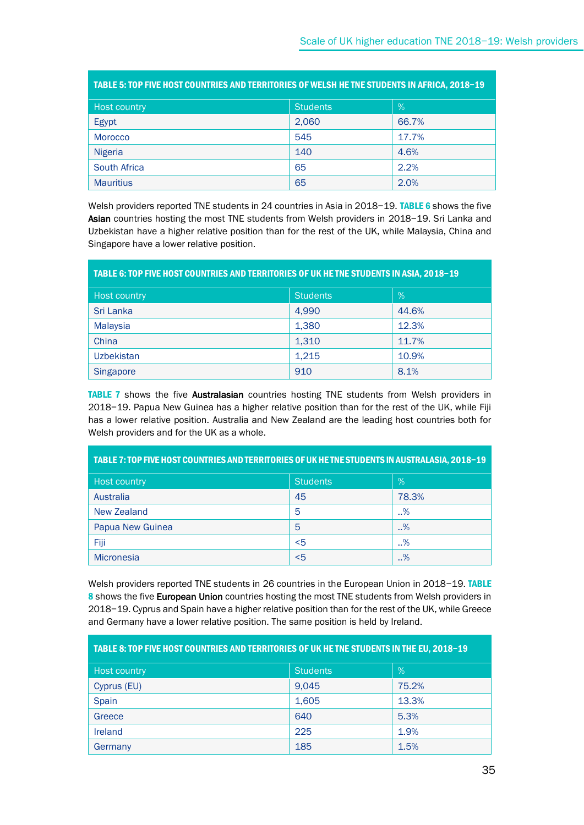| TABLE 5: TOP FIVE HOST COUNTRIES AND TERRITORIES OF WELSH HE TNE STUDENTS IN AFRICA, 2018-19 |                 |       |  |
|----------------------------------------------------------------------------------------------|-----------------|-------|--|
| Host country                                                                                 | <b>Students</b> | $\%$  |  |
| Egypt                                                                                        | 2,060           | 66.7% |  |
| <b>Morocco</b>                                                                               | 545             | 17.7% |  |
| <b>Nigeria</b>                                                                               | 140             | 4.6%  |  |
| <b>South Africa</b>                                                                          | 65              | 2.2%  |  |
| <b>Mauritius</b>                                                                             | 65              | 2.0%  |  |

Welsh providers reported TNE students in 24 countries in Asia in 2018-19. TABLE 6 shows the five Asian countries hosting the most TNE students from Welsh providers in 2018-19. Sri Lanka and Uzbekistan have a higher relative position than for the rest of the UK, while Malaysia, China and Singapore have a lower relative position.

| TABLE 6: TOP FIVE HOST COUNTRIES AND TERRITORIES OF UK HE TNE STUDENTS IN ASIA, 2018-19 |                 |       |  |
|-----------------------------------------------------------------------------------------|-----------------|-------|--|
| Host country                                                                            | <b>Students</b> | $\%$  |  |
| Sri Lanka                                                                               | 4,990           | 44.6% |  |
| <b>Malaysia</b>                                                                         | 1,380           | 12.3% |  |
| China                                                                                   | 1,310           | 11.7% |  |
| <b>Uzbekistan</b>                                                                       | 1,215           | 10.9% |  |
| Singapore                                                                               | 910             | 8.1%  |  |

TABLE 7 shows the five Australasian countries hosting TNE students from Welsh providers in 2018−19. Papua New Guinea has a higher relative position than for the rest of the UK, while Fiji has a lower relative position. Australia and New Zealand are the leading host countries both for Welsh providers and for the UK as a whole.

| TABLE 7: TOP FIVE HOST COUNTRIES AND TERRITORIES OF UK HE TNE STUDENTS IN AUSTRALASIA, 2018–19 |                 |       |  |
|------------------------------------------------------------------------------------------------|-----------------|-------|--|
| <b>Host country</b>                                                                            | <b>Students</b> | %     |  |
| Australia                                                                                      | 45              | 78.3% |  |
| New Zealand                                                                                    | 5               | .96   |  |
| Papua New Guinea                                                                               | 5               | .96   |  |
| Fiji                                                                                           | $5$             | %     |  |
| <b>Micronesia</b>                                                                              | $5$             | %     |  |

Welsh providers reported TNE students in 26 countries in the European Union in 2018-19. TABLE 8 shows the five European Union countries hosting the most TNE students from Welsh providers in 2018−19. Cyprus and Spain have a higher relative position than for the rest of the UK, while Greece and Germany have a lower relative position. The same position is held by Ireland.

| TABLE 8: TOP FIVE HOST COUNTRIES AND TERRITORIES OF UK HE TNE STUDENTS IN THE EU, 2018-19 |                 |       |  |
|-------------------------------------------------------------------------------------------|-----------------|-------|--|
| <b>Host country</b>                                                                       | <b>Students</b> | %     |  |
| Cyprus (EU)                                                                               | 9,045           | 75.2% |  |
| Spain                                                                                     | 1,605           | 13.3% |  |
| Greece                                                                                    | 640             | 5.3%  |  |
| Ireland                                                                                   | 225             | 1.9%  |  |
| Germany                                                                                   | 185             | 1.5%  |  |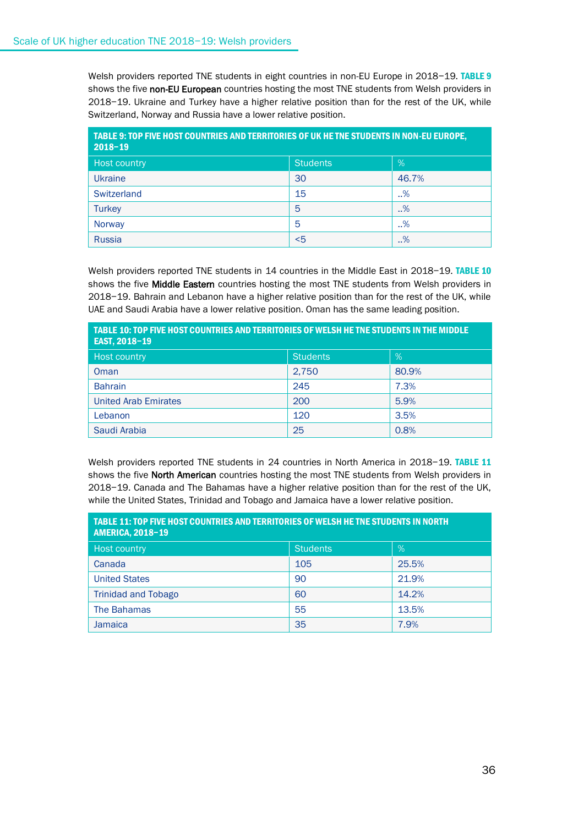Welsh providers reported TNE students in eight countries in non-EU Europe in 2018-19. TABLE 9 shows the five non-EU European countries hosting the most TNE students from Welsh providers in 2018−19. Ukraine and Turkey have a higher relative position than for the rest of the UK, while Switzerland, Norway and Russia have a lower relative position.

| TABLE 9: TOP FIVE HOST COUNTRIES AND TERRITORIES OF UK HE TNE STUDENTS IN NON-EU EUROPE,<br>$2018 - 19$ |                 |       |  |
|---------------------------------------------------------------------------------------------------------|-----------------|-------|--|
| Host country                                                                                            | <b>Students</b> | %     |  |
| <b>Ukraine</b>                                                                                          | 30              | 46.7% |  |
| Switzerland                                                                                             | 15              | .96   |  |
| <b>Turkey</b>                                                                                           | 5               | .96   |  |
| Norway                                                                                                  | 5               | .96   |  |
| Russia                                                                                                  | $<$ 5           | %     |  |

Welsh providers reported TNE students in 14 countries in the Middle East in 2018−19. TABLE 10 shows the five Middle Eastern countries hosting the most TNE students from Welsh providers in 2018−19. Bahrain and Lebanon have a higher relative position than for the rest of the UK, while UAE and Saudi Arabia have a lower relative position. Oman has the same leading position.

| TABLE 10: TOP FIVE HOST COUNTRIES AND TERRITORIES OF WELSH HE TNE STUDENTS IN THE MIDDLE<br>EAST, 2018-19 |                 |       |  |
|-----------------------------------------------------------------------------------------------------------|-----------------|-------|--|
| <b>Host country</b>                                                                                       | <b>Students</b> | $\%$  |  |
| Oman                                                                                                      | 2,750           | 80.9% |  |
| <b>Bahrain</b>                                                                                            | 245             | 7.3%  |  |
| <b>United Arab Emirates</b>                                                                               | 200             | 5.9%  |  |
| Lebanon                                                                                                   | 120             | 3.5%  |  |
| Saudi Arabia                                                                                              | 25              | 0.8%  |  |

Welsh providers reported TNE students in 24 countries in North America in 2018−19. TABLE 11 shows the five North American countries hosting the most TNE students from Welsh providers in 2018−19. Canada and The Bahamas have a higher relative position than for the rest of the UK, while the United States, Trinidad and Tobago and Jamaica have a lower relative position.

| TABLE 11: TOP FIVE HOST COUNTRIES AND TERRITORIES OF WELSH HE TNE STUDENTS IN NORTH<br><b>AMERICA, 2018-19</b> |                 |       |  |
|----------------------------------------------------------------------------------------------------------------|-----------------|-------|--|
| <b>Host country</b>                                                                                            | <b>Students</b> | %     |  |
| Canada                                                                                                         | 105             | 25.5% |  |
| <b>United States</b>                                                                                           | 90              | 21.9% |  |
| <b>Trinidad and Tobago</b>                                                                                     | 60              | 14.2% |  |
| The Bahamas                                                                                                    | 55              | 13.5% |  |
| <b>Jamaica</b>                                                                                                 | 35              | 7.9%  |  |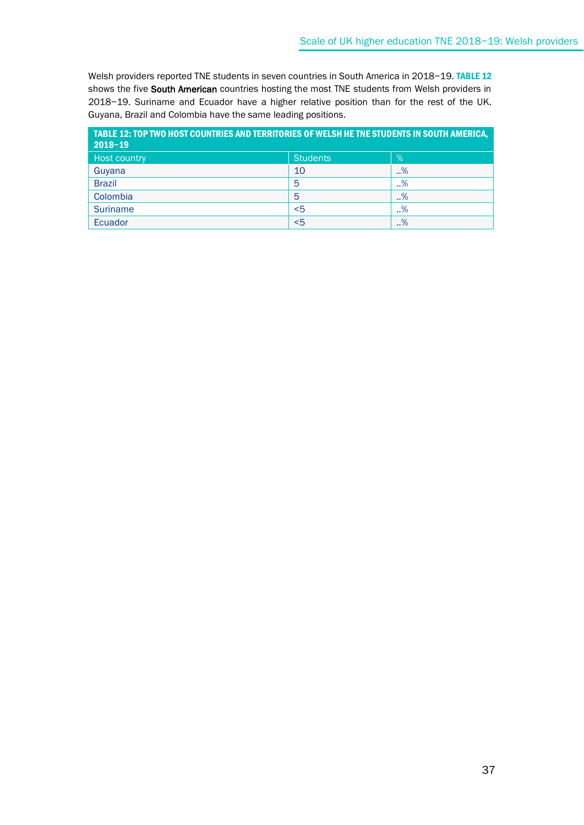Welsh providers reported TNE students in seven countries in South America in 2018−19. TABLE 12 shows the five South American countries hosting the most TNE students from Welsh providers in 2018−19. Suriname and Ecuador have a higher relative position than for the rest of the UK. Guyana, Brazil and Colombia have the same leading positions.

| TABLE 12: TOP TWO HOST COUNTRIES AND TERRITORIES OF WELSH HE TNE STUDENTS IN SOUTH AMERICA,<br>$2018 - 19$ |                 |        |
|------------------------------------------------------------------------------------------------------------|-----------------|--------|
| Host country                                                                                               | <b>Students</b> | %      |
| Guyana                                                                                                     | 10              | $. \%$ |
| <b>Brazil</b>                                                                                              | 5               | .96    |
| Colombia                                                                                                   | 5               | $. \%$ |
| <b>Suriname</b>                                                                                            | $5$             | $. \%$ |
| Ecuador                                                                                                    | $5$             | $. \%$ |